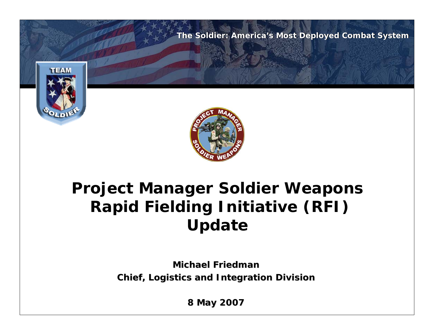

## **Project Manager Soldier Weapons Rapid Fielding Initiative (RFI) Update**

**Michael Friedman Michael FriedmanChief, Logistics and Integration Division Chief, Logistics and Integration Division**

**8 May 2007 8 May 2007**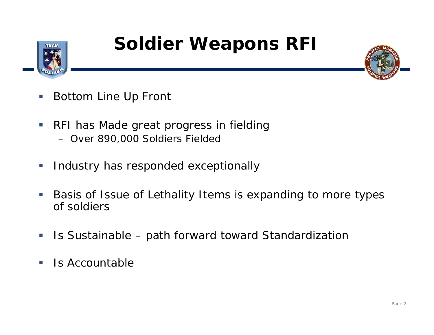

## **Soldier Weapons RFI**



- I. Bottom Line Up Front
- $\mathcal{L}_{\mathcal{A}}$  RFI has Made great progress in fielding – Over 890,000 Soldiers Fielded
- $\overline{\phantom{a}}$ Industry has responded exceptionally
- $\Box$  Basis of Issue of Lethality Items is expanding to more types of soldiers
- $\Box$ Is Sustainable – path forward toward Standardization
- $\mathcal{L}_{\mathcal{A}}$ Is Accountable